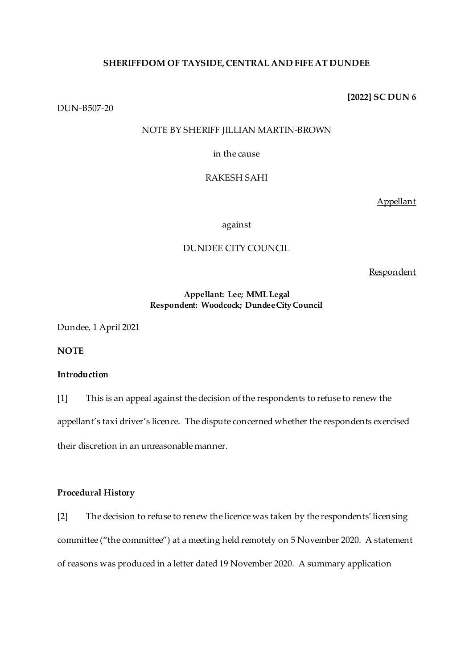## **SHERIFFDOM OF TAYSIDE, CENTRAL AND FIFE AT DUNDEE**

DUN-B507-20

# NOTE BY SHERIFF JILLIAN MARTIN-BROWN

in the cause

# RAKESH SAHI

Appellant

against

# DUNDEE CITY COUNCIL

Respondent

## **Appellant: Lee; MML Legal Respondent: Woodcock; Dundee City Council**

Dundee, 1 April 2021

**NOTE**

# **Introduction**

[1] This is an appeal against the decision of the respondents to refuse to renew the appellant's taxi driver's licence. The dispute concerned whether the respondents exercised their discretion in an unreasonable manner.

## **Procedural History**

[2] The decision to refuse to renew the licence was taken by the respondents' licensing committee ("the committee") at a meeting held remotely on 5 November 2020. A statement of reasons was produced in a letter dated 19 November 2020. A summary application

**[2022] SC DUN 6**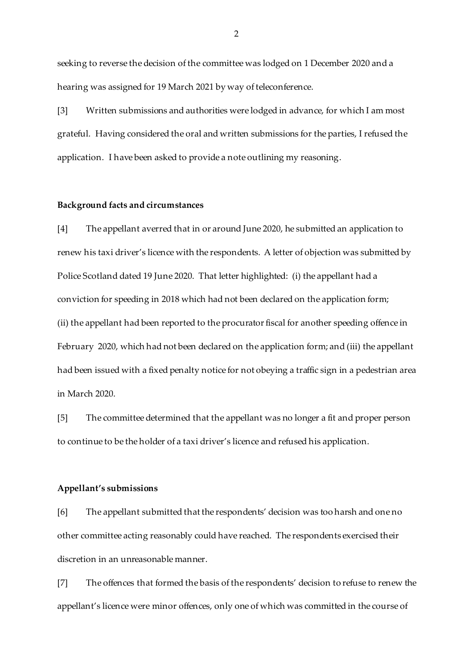seeking to reverse the decision of the committee was lodged on 1 December 2020 and a hearing was assigned for 19 March 2021 by way of teleconference.

[3] Written submissions and authorities were lodged in advance, for which I am most grateful. Having considered the oral and written submissions for the parties, I refused the application. I have been asked to provide a note outlining my reasoning.

#### **Background facts and circumstances**

[4] The appellant averred that in or around June 2020, he submitted an application to renew his taxi driver's licence with the respondents. A letter of objection was submitted by Police Scotland dated 19 June 2020. That letter highlighted: (i) the appellant had a conviction for speeding in 2018 which had not been declared on the application form; (ii) the appellant had been reported to the procurator fiscal for another speeding offence in February 2020, which had not been declared on the application form; and (iii) the appellant had been issued with a fixed penalty notice for not obeying a traffic sign in a pedestrian area in March 2020.

[5] The committee determined that the appellant was no longer a fit and proper person to continue to be the holder of a taxi driver's licence and refused his application.

#### **Appellant's submissions**

[6] The appellant submitted that the respondents' decision was too harsh and one no other committee acting reasonably could have reached. The respondents exercised their discretion in an unreasonable manner.

[7] The offences that formed the basis of the respondents' decision to refuse to renew the appellant's licence were minor offences, only one of which was committed in the course of

 $\mathfrak{D}$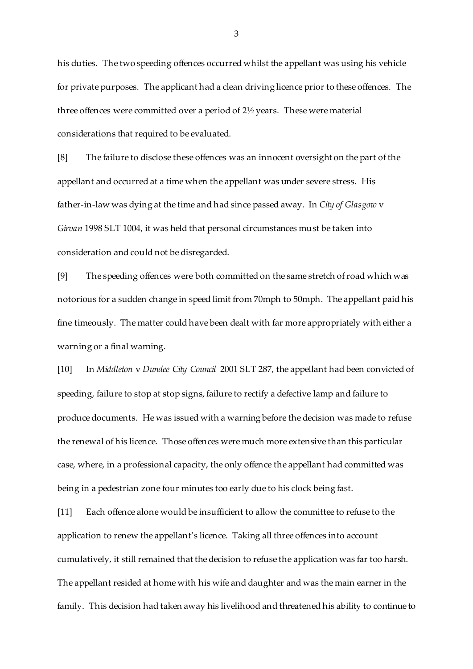his duties. The two speeding offences occurred whilst the appellant was using his vehicle for private purposes. The applicant had a clean driving licence prior to these offences. The three offences were committed over a period of 2½ years. These were material considerations that required to be evaluated.

[8] The failure to disclose these offences was an innocent oversight on the part of the appellant and occurred at a time when the appellant was under severe stress. His father-in-law was dying at the time and had since passed away. In *City of Glasgow* v *Girvan* 1998 SLT 1004, it was held that personal circumstances must be taken into consideration and could not be disregarded.

[9] The speeding offences were both committed on the same stretch of road which was notorious for a sudden change in speed limit from 70mph to 50mph. The appellant paid his fine timeously. The matter could have been dealt with far more appropriately with either a warning or a final warning.

[10] In *Middleton* v *Dundee City Council* 2001 SLT 287, the appellant had been convicted of speeding, failure to stop at stop signs, failure to rectify a defective lamp and failure to produce documents. He was issued with a warning before the decision was made to refuse the renewal of his licence. Those offences were much more extensive than this particular case, where, in a professional capacity, the only offence the appellant had committed was being in a pedestrian zone four minutes too early due to his clock being fast.

[11] Each offence alone would be insufficient to allow the committee to refuse to the application to renew the appellant's licence. Taking all three offences into account cumulatively, it still remained that the decision to refuse the application was far too harsh. The appellant resided at home with his wife and daughter and was the main earner in the family. This decision had taken away his livelihood and threatened his ability to continue to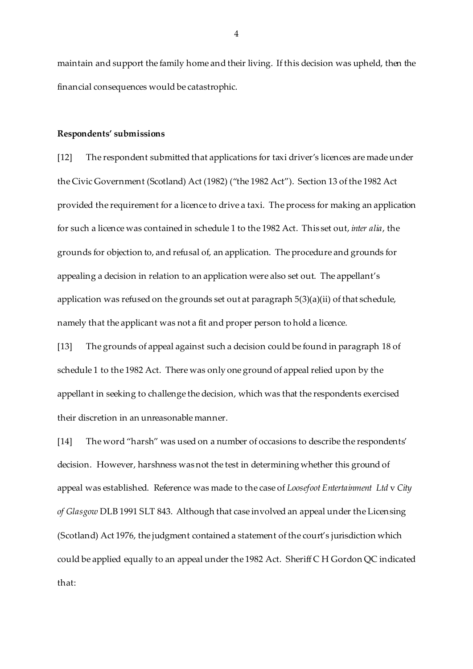maintain and support the family home and their living. If this decision was upheld, then the financial consequences would be catastrophic.

#### **Respondents' submissions**

[12] The respondent submitted that applications for taxi driver's licences are made under the Civic Government (Scotland) Act (1982) ("the 1982 Act"). Section 13 of the 1982 Act provided the requirement for a licence to drive a taxi. The process for making an application for such a licence was contained in schedule 1 to the 1982 Act. This set out, *inter alia*, the grounds for objection to, and refusal of, an application. The procedure and grounds for appealing a decision in relation to an application were also set out. The appellant's application was refused on the grounds set out at paragraph 5(3)(a)(ii) of that schedule, namely that the applicant was not a fit and proper person to hold a licence.

[13] The grounds of appeal against such a decision could be found in paragraph 18 of schedule 1 to the 1982 Act. There was only one ground of appeal relied upon by the appellant in seeking to challenge the decision, which was that the respondents exercised their discretion in an unreasonable manner.

[14] The word "harsh" was used on a number of occasions to describe the respondents' decision. However, harshness was not the test in determining whether this ground of appeal was established. Reference was made to the case of *Loosefoot Entertainment Ltd* v *City of Glasgow* DLB 1991 SLT 843. Although that case involved an appeal under the Licensing (Scotland) Act 1976, the judgment contained a statement of the court's jurisdiction which could be applied equally to an appeal under the 1982 Act. Sheriff C H Gordon QC indicated that:

4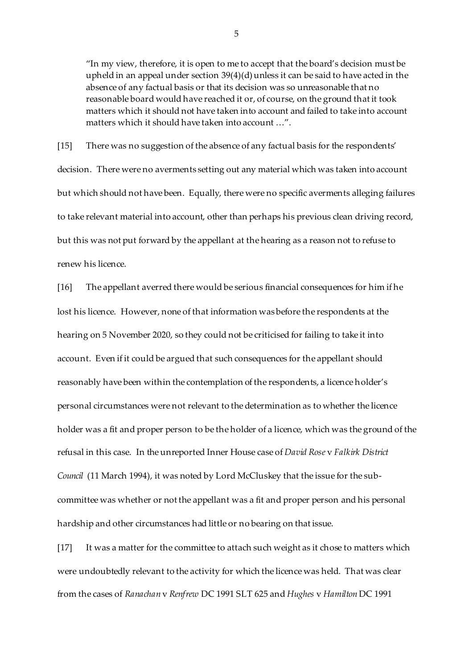"In my view, therefore, it is open to me to accept that the board's decision must be upheld in an appeal under section 39(4)(d) unless it can be said to have acted in the absence of any factual basis or that its decision was so unreasonable that no reasonable board would have reached it or, of course, on the ground that it took matters which it should not have taken into account and failed to take into account matters which it should have taken into account …".

[15] There was no suggestion of the absence of any factual basis for the respondents' decision. There were no averments setting out any material which was taken into account but which should not have been. Equally, there were no specific averments alleging failures to take relevant material into account, other than perhaps his previous clean driving record, but this was not put forward by the appellant at the hearing as a reason not to refuse to renew his licence.

[16] The appellant averred there would be serious financial consequences for him if he lost his licence. However, none of that information was before the respondents at the hearing on 5 November 2020, so they could not be criticised for failing to take it into account. Even if it could be argued that such consequences for the appellant should reasonably have been within the contemplation of the respondents, a licence holder's personal circumstances were not relevant to the determination as to whether the licence holder was a fit and proper person to be the holder of a licence, which was the ground of the refusal in this case. In the unreported Inner House case of *David Rose* v *Falkirk District Council* (11 March 1994), it was noted by Lord McCluskey that the issue for the subcommittee was whether or not the appellant was a fit and proper person and his personal hardship and other circumstances had little or no bearing on that issue.

[17] It was a matter for the committee to attach such weight as it chose to matters which were undoubtedly relevant to the activity for which the licence was held. That was clear from the cases of *Ranachan* v *Renfrew* DC 1991 SLT 625 and *Hughes* v *Hamilton* DC 1991

5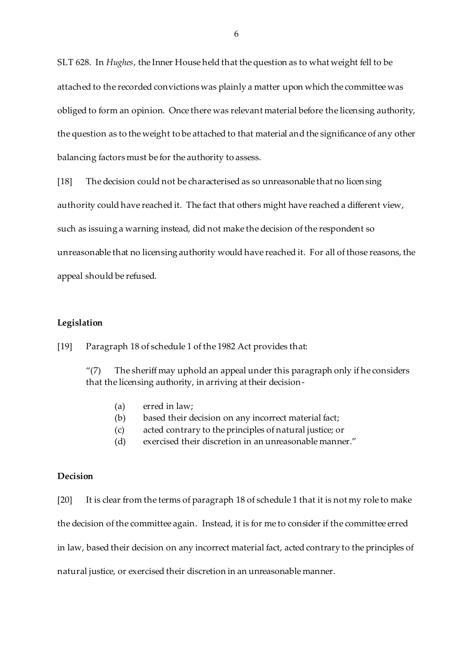SLT 628. In *Hughes*, the Inner House held that the question as to what weight fell to be attached to the recorded convictions was plainly a matter upon which the committee was obliged to form an opinion. Once there was relevant material before the licensing authority, the question as to the weight to be attached to that material and the significance of any other balancing factors must be for the authority to assess.

[18] The decision could not be characterised as so unreasonable that no licensing

authority could have reached it. The fact that others might have reached a different view,

such as issuing a warning instead, did not make the decision of the respondent so

unreasonable that no licensing authority would have reached it. For all of those reasons, the

appeal should be refused.

#### **Legislation**

[19] Paragraph 18 of schedule 1 of the 1982 Act provides that:

" $(7)$  The sheriff may uphold an appeal under this paragraph only if he considers that the licensing authority, in arriving at their decision-

- (a) erred in law;
- (b) based their decision on any incorrect material fact;
- (c) acted contrary to the principles of natural justice; or
- (d) exercised their discretion in an unreasonable manner."

## **Decision**

[20] It is clear from the terms of paragraph 18 of schedule 1 that it is not my role to make the decision of the committee again. Instead, it is for me to consider if the committee erred in law, based their decision on any incorrect material fact, acted contrary to the principles of natural justice, or exercised their discretion in an unreasonable manner.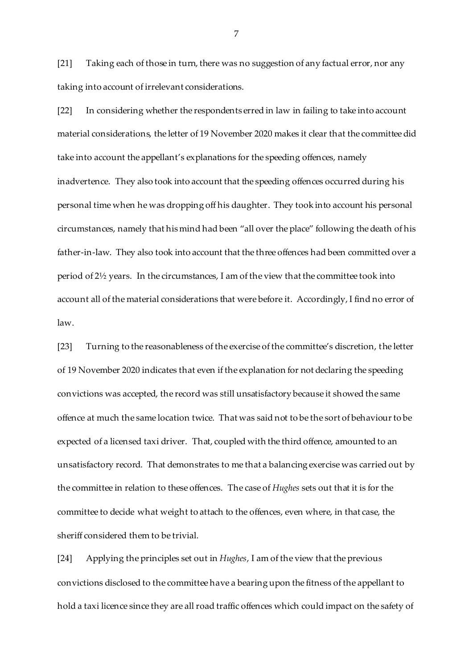[21] Taking each of those in turn, there was no suggestion of any factual error, nor any taking into account of irrelevant considerations.

[22] In considering whether the respondents erred in law in failing to take into account material considerations, the letter of 19 November 2020 makes it clear that the committee did take into account the appellant's explanations for the speeding offences, namely inadvertence. They also took into account that the speeding offences occurred during his personal time when he was dropping off his daughter. They took into account his personal circumstances, namely that his mind had been "all over the place" following the death of his father-in-law. They also took into account that the three offences had been committed over a period of 2½ years. In the circumstances, I am of the view that the committee took into account all of the material considerations that were before it. Accordingly, I find no error of law.

[23] Turning to the reasonableness of the exercise of the committee's discretion, the letter of 19 November 2020 indicates that even if the explanation for not declaring the speeding convictions was accepted, the record was still unsatisfactory because it showed the same offence at much the same location twice. That was said not to be the sort of behaviour to be expected of a licensed taxi driver. That, coupled with the third offence, amounted to an unsatisfactory record. That demonstrates to me that a balancing exercise was carried out by the committee in relation to these offences. The case of *Hughes* sets out that it is for the committee to decide what weight to attach to the offences, even where, in that case, the sheriff considered them to be trivial.

[24] Applying the principles set out in *Hughes*, I am of the view that the previous convictions disclosed to the committee have a bearing upon the fitness of the appellant to hold a taxi licence since they are all road traffic offences which could impact on the safety of

7